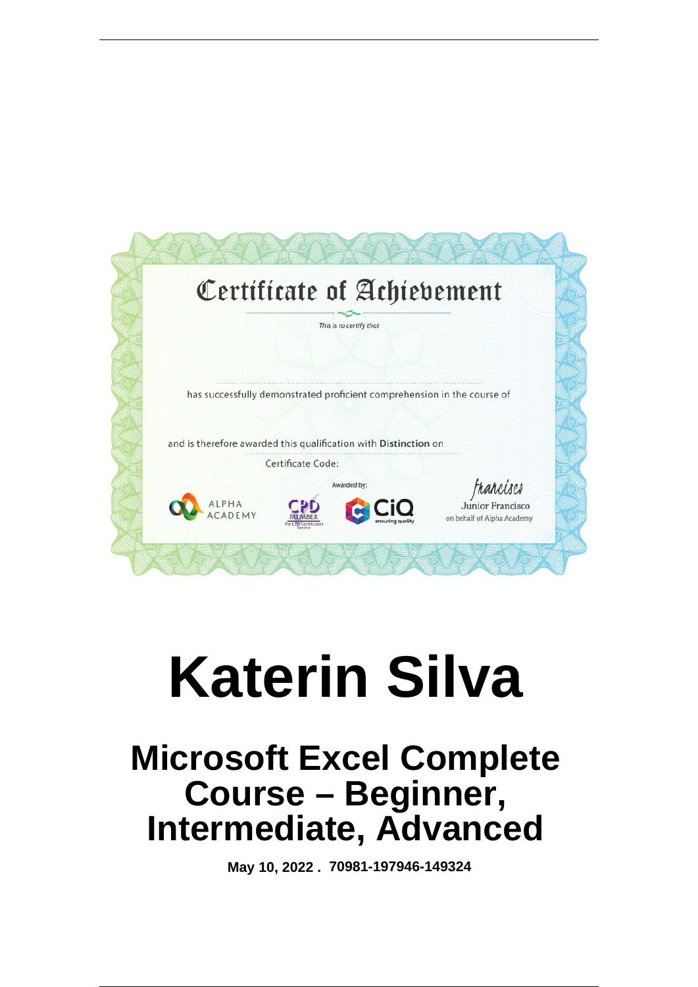

# **Katerin Silva**

# **Microsoft Excel Complete Course – Beginner, Intermediate, Advanced**

 **May 10, 2022 . 70981-197946-149324**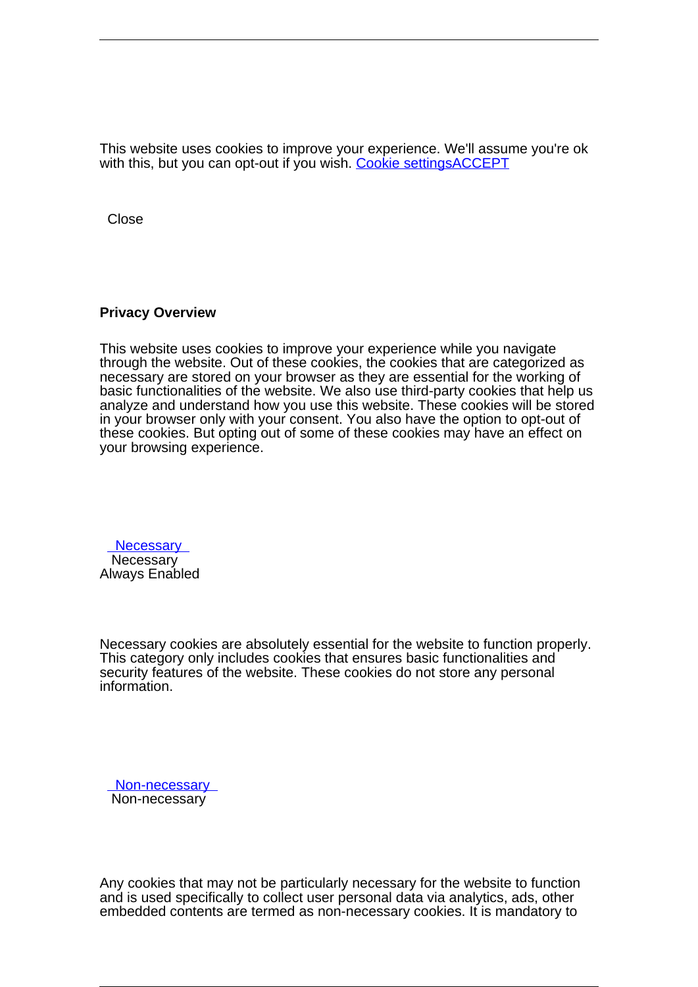This website uses cookies to improve your experience. We'll assume you're ok with this, but you can opt-out if you wish. Cookie settingsACCEPT

**Close** 

#### **Privacy Overview**

This website uses cookies to improve your experience while you navigate through the website. Out of these cookies, the cookies that are categorized as necessary are stored on your browser as they are essential for the working of basic functionalities of the website. We also use third-party cookies that help us analyze and understand how you use this website. These cookies will be stored in your browser only with your consent. You also have the option to opt-out of these cookies. But opting out of some of these cookies may have an effect on your browsing experience.

**Necessary Necessary** Always Enabled

Necessary cookies are absolutely essential for the website to function properly. This category only includes cookies that ensures basic functionalities and security features of the website. These cookies do not store any personal information.

 Non-necessary Non-necessary

Any cookies that may not be particularly necessary for the website to function and is used specifically to collect user personal data via analytics, ads, other embedded contents are termed as non-necessary cookies. It is mandatory to